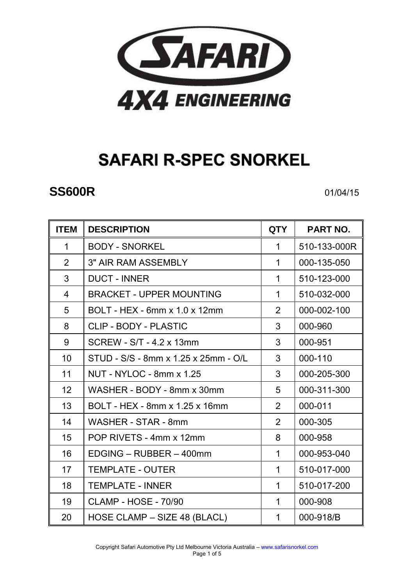

## **SAFARI R-SPEC SNORKEL**

## **SS600R** 01/04/15

| <b>ITEM</b>    | <b>DESCRIPTION</b>                   | <b>QTY</b>     | <b>PART NO.</b> |
|----------------|--------------------------------------|----------------|-----------------|
| 1              | <b>BODY - SNORKEL</b>                | $\mathbf 1$    | 510-133-000R    |
| $\overline{2}$ | <b>3" AIR RAM ASSEMBLY</b>           | $\mathbf 1$    | 000-135-050     |
| 3              | <b>DUCT - INNER</b>                  | $\mathbf 1$    | 510-123-000     |
| 4              | <b>BRACKET - UPPER MOUNTING</b>      | $\mathbf 1$    | 510-032-000     |
| 5              | BOLT - HEX - 6mm x 1.0 x 12mm        | $\overline{2}$ | 000-002-100     |
| 8              | <b>CLIP - BODY - PLASTIC</b>         | 3              | 000-960         |
| 9              | SCREW - S/T - 4.2 x 13mm             | 3              | 000-951         |
| 10             | STUD - S/S - 8mm x 1.25 x 25mm - O/L | 3              | 000-110         |
| 11             | NUT - NYLOC - 8mm x 1.25             | 3              | 000-205-300     |
| 12             | WASHER - BODY - 8mm x 30mm           | 5              | 000-311-300     |
| 13             | BOLT - HEX - 8mm x 1.25 x 16mm       | 2              | 000-011         |
| 14             | <b>WASHER - STAR - 8mm</b>           | 2              | 000-305         |
| 15             | POP RIVETS - 4mm x 12mm              | 8              | 000-958         |
| 16             | EDGING - RUBBER - 400mm              | 1              | 000-953-040     |
| 17             | <b>TEMPLATE - OUTER</b>              | 1              | 510-017-000     |
| 18             | <b>TEMPLATE - INNER</b>              | 1              | 510-017-200     |
| 19             | <b>CLAMP - HOSE - 70/90</b>          | $\mathbf 1$    | 000-908         |
| 20             | HOSE CLAMP - SIZE 48 (BLACL)         | 1              | 000-918/B       |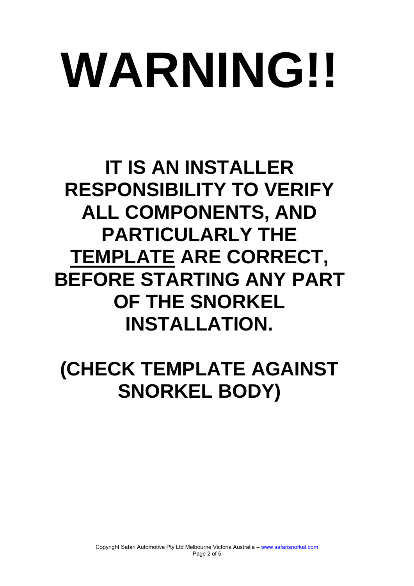# **WARNING!!**

**IT IS AN INSTALLER RESPONSIBILITY TO VERIFY ALL COMPONENTS, AND PARTICULARLY THE TEMPLATE ARE CORRECT, BEFORE STARTING ANY PART OF THE SNORKEL INSTALLATION.** 

**(CHECK TEMPLATE AGAINST SNORKEL BODY)**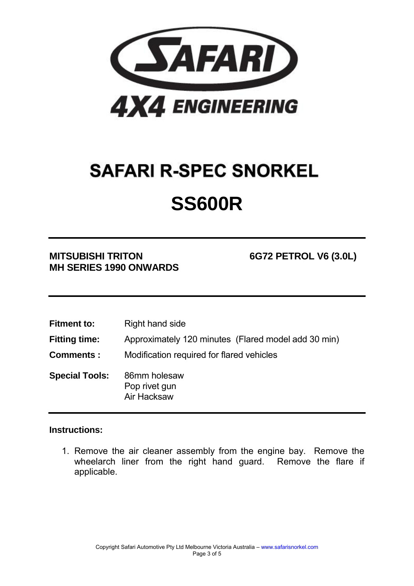

## **SAFARI R-SPEC SNORKEL SS600R**

### **MITSUBISHI TRITON 6G72 PETROL V6 (3.0L) MH SERIES 1990 ONWARDS**

| <b>Fitment to:</b>    | Right hand side                                     |
|-----------------------|-----------------------------------------------------|
| <b>Fitting time:</b>  | Approximately 120 minutes (Flared model add 30 min) |
| <b>Comments:</b>      | Modification required for flared vehicles           |
| <b>Special Tools:</b> | 86mm holesaw<br>Pop rivet gun<br>Air Hacksaw        |

#### **Instructions:**

1. Remove the air cleaner assembly from the engine bay. Remove the wheelarch liner from the right hand guard. Remove the flare if applicable.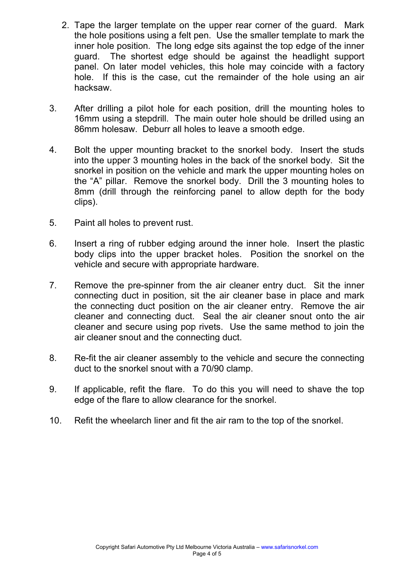- 2. Tape the larger template on the upper rear corner of the guard. Mark the hole positions using a felt pen. Use the smaller template to mark the inner hole position. The long edge sits against the top edge of the inner guard. The shortest edge should be against the headlight support panel. On later model vehicles, this hole may coincide with a factory hole. If this is the case, cut the remainder of the hole using an air hacksaw.
- 3. After drilling a pilot hole for each position, drill the mounting holes to 16mm using a stepdrill. The main outer hole should be drilled using an 86mm holesaw. Deburr all holes to leave a smooth edge.
- 4. Bolt the upper mounting bracket to the snorkel body. Insert the studs into the upper 3 mounting holes in the back of the snorkel body. Sit the snorkel in position on the vehicle and mark the upper mounting holes on the "A" pillar. Remove the snorkel body. Drill the 3 mounting holes to 8mm (drill through the reinforcing panel to allow depth for the body clips).
- 5. Paint all holes to prevent rust.
- 6. Insert a ring of rubber edging around the inner hole. Insert the plastic body clips into the upper bracket holes. Position the snorkel on the vehicle and secure with appropriate hardware.
- 7. Remove the pre-spinner from the air cleaner entry duct. Sit the inner connecting duct in position, sit the air cleaner base in place and mark the connecting duct position on the air cleaner entry. Remove the air cleaner and connecting duct. Seal the air cleaner snout onto the air cleaner and secure using pop rivets. Use the same method to join the air cleaner snout and the connecting duct.
- 8. Re-fit the air cleaner assembly to the vehicle and secure the connecting duct to the snorkel snout with a 70/90 clamp.
- 9. If applicable, refit the flare. To do this you will need to shave the top edge of the flare to allow clearance for the snorkel.
- 10. Refit the wheelarch liner and fit the air ram to the top of the snorkel.